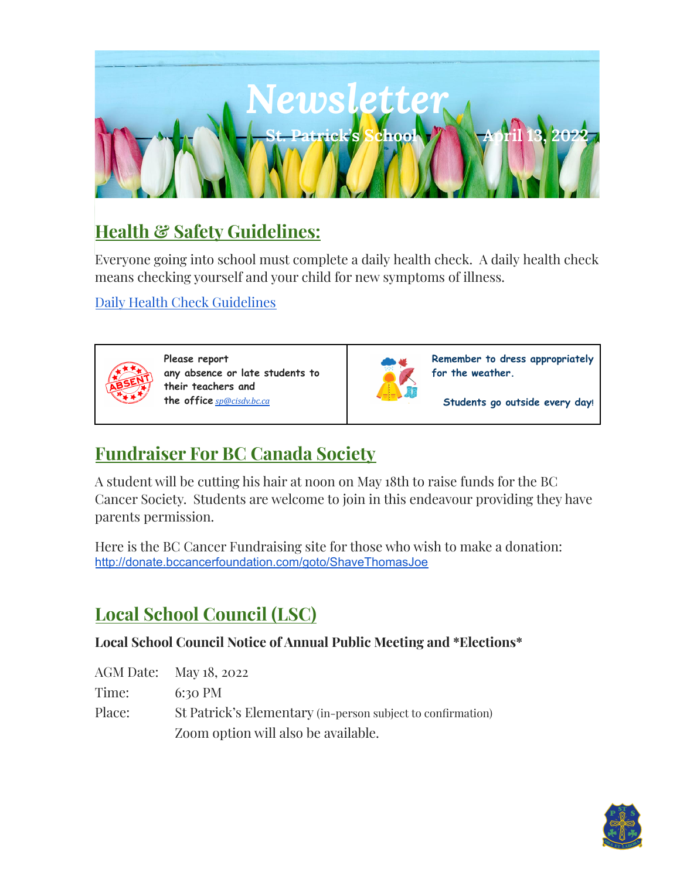

# **Health & Safety Guidelines:**

Everyone going into school must complete a daily health check. A daily health check means checking yourself and your child for new symptoms of illness.

Daily Health Check [Guidelines](https://drive.google.com/file/d/1P9ZxXN5Bg6UX3PGaa38wv-qLZqHnwJBh/view?usp=sharing)



**Please report any absence or late students to their teachers and the office** *[sp@cisdv.bc.ca](mailto:sp@cisdv.bc.ca)*



**Remember to dress appropriately for the weather.**

**Students go outside every day!**

### **Fundraiser For BC Canada Society**

A student will be cutting his hair at noon on May 18th to raise funds for the BC Cancer Society. Students are welcome to join in this endeavour providing they have parents permission.

Here is the BC Cancer Fundraising site for those who wish to make a donation: <http://donate.bccancerfoundation.com/goto/ShaveThomasJoe>

# **Local School Council (LSC)**

#### **Local School Council Notice of Annual Public Meeting and \*Elections\***

AGM Date: May 18, 2022

Time: 6:30 PM

Place: St Patrick's Elementary (in-person subject to confirmation) Zoom option will also be available.

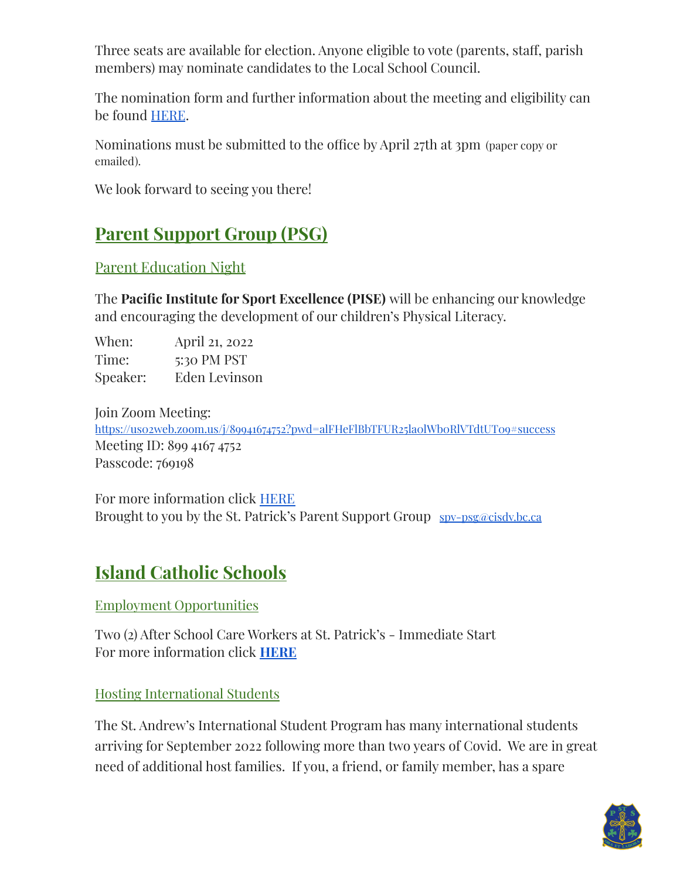Three seats are available for election. Anyone eligible to vote (parents, staff, parish members) may nominate candidates to the Local School Council.

The nomination form and further information about the meeting and eligibility can be found [HERE](https://drive.google.com/file/d/1dpHNpi-kCRJnKFhV4tAnl-P-4DNZmTF4/view?usp=sharing).

Nominations must be submitted to the office by April 27th at 3pm (paper copy or emailed).

We look forward to seeing you there!

# **Parent Support Group (PSG)**

Parent Education Night

The **Pacific Institute for Sport Excellence (PISE)** will be enhancing our knowledge and encouraging the development of our children's Physical Literacy.

When: April 21, 2022 Time: 5:30 PM PST Speaker: Eden Levinson

Join Zoom Meeting: https://uso2web.zoom.us/j/89941674752?pwd=alFHeFlBbTFUR25laolWboRlVTdtUT09#success Meeting ID: 899 4167 4752 Passcode: 769198

For more information click [HERE](https://drive.google.com/file/d/1IdNfsGBseRBQzcO1JhjTEvS-IZz1ms46/view?usp=sharing) Brought to you by the St. Patrick's Parent Support Group spy-psg@cisdy.bc.ca

# **Island Catholic Schools**

Employment Opportunities

Two (2) After School Care Workers at St. Patrick's - Immediate Start For more information click **[HERE](https://drive.google.com/file/d/1ESuXe5zAczFQCOfIsrNZXn_fqu3Ihckt/view?usp=sharing)**

Hosting International Students

The St. Andrew's International Student Program has many international students arriving for September 2022 following more than two years of Covid. We are in great need of additional host families. If you, a friend, or family member, has a spare

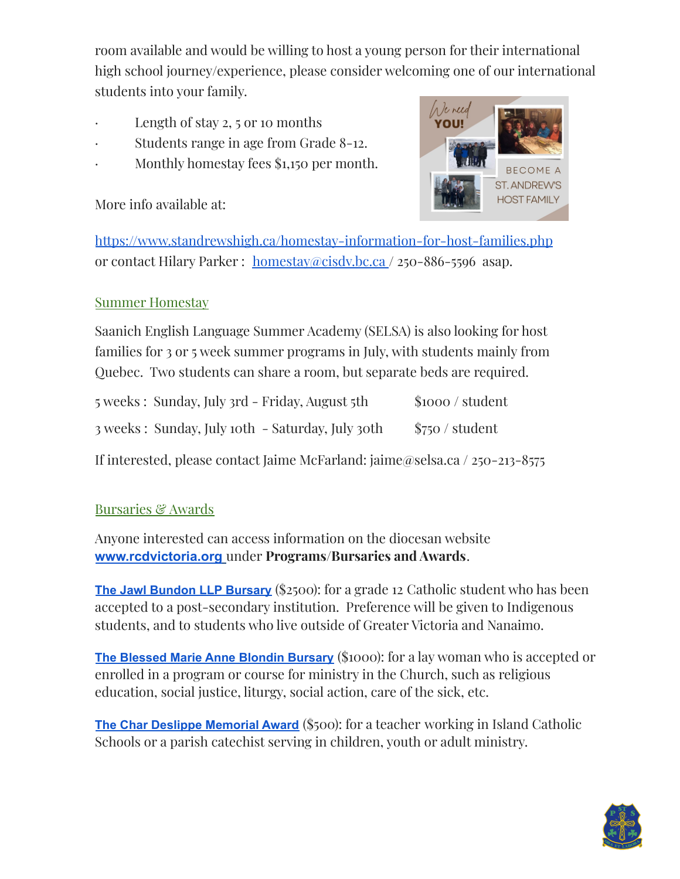room available and would be willing to host a young person for their international high school journey/experience, please consider welcoming one of our international students into your family.

- Length of stay  $2, 5$  or 10 months
- · Students range in age from Grade 8-12.
- · Monthly homestay fees \$1,150 per month.

More info available at:



[https://www.standrewshigh.ca/homestay-information-for-host-families.php](http://www.standrews.ca/international) or contact Hilary Parker : [homestay@cisdv.bc.ca](mailto:homestay@cisdv.bc.ca) / 250-886-5596 asap.

#### Summer Homestay

Saanich English Language Summer Academy (SELSA) is also looking for host families for 3 or 5 week summer programs in July, with students mainly from Quebec. Two students can share a room, but separate beds are required.

| 5 weeks: Sunday, July 3rd - Friday, August 5th   | \$1000 / student |
|--------------------------------------------------|------------------|
| 3 weeks: Sunday, July 10th - Saturday, July 30th | \$750 / student  |

If interested, please contact Jaime McFarland: jaime@selsa.ca / 250-213-8575

#### **Bursaries & Awards**

Anyone interested can access information on the diocesan website **[www.rcdvictoria.org](http://www.rcdvictoria.org/)** under **Programs/Bursaries and Awards**.

**The Jawl Bundon LLP [Bursary](https://www.rcdvictoria.org/jawl-bundon-bursary)** (\$2500): for a grade 12 Catholic student who has been accepted to a post-secondary institution. Preference will be given to Indigenous students, and to students who live outside of Greater Victoria and Nanaimo.

**The [Blessed](https://www.rcdvictoria.org/blondin-bursary) Marie Anne Blondin Bursary** (\$1000): for a lay woman who is accepted or enrolled in a program or course for ministry in the Church, such as religious education, social justice, liturgy, social action, care of the sick, etc.

**The Char Deslippe [Memorial](https://www.rcdvictoria.org/char-deslippe-award) Award** (\$500): for a teacher working in Island Catholic Schools or a parish catechist serving in children, youth or adult ministry.

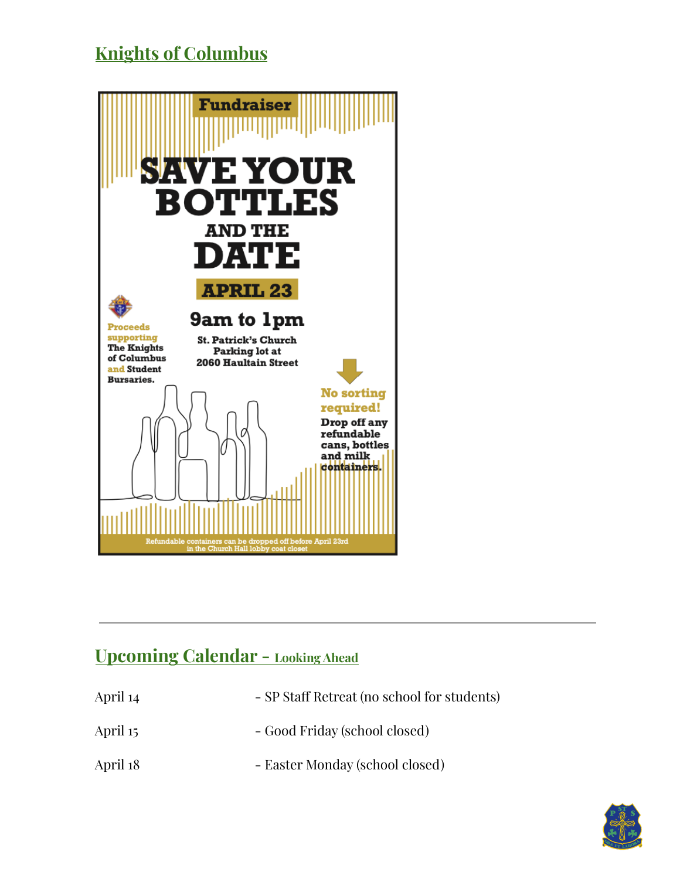## **Knights of Columbus**



### **Upcoming Calendar - Looking Ahead**

- April 14 SP Staff Retreat (no school for students) April 15 - Good Friday (school closed)
- April 18 Easter Monday (school closed)

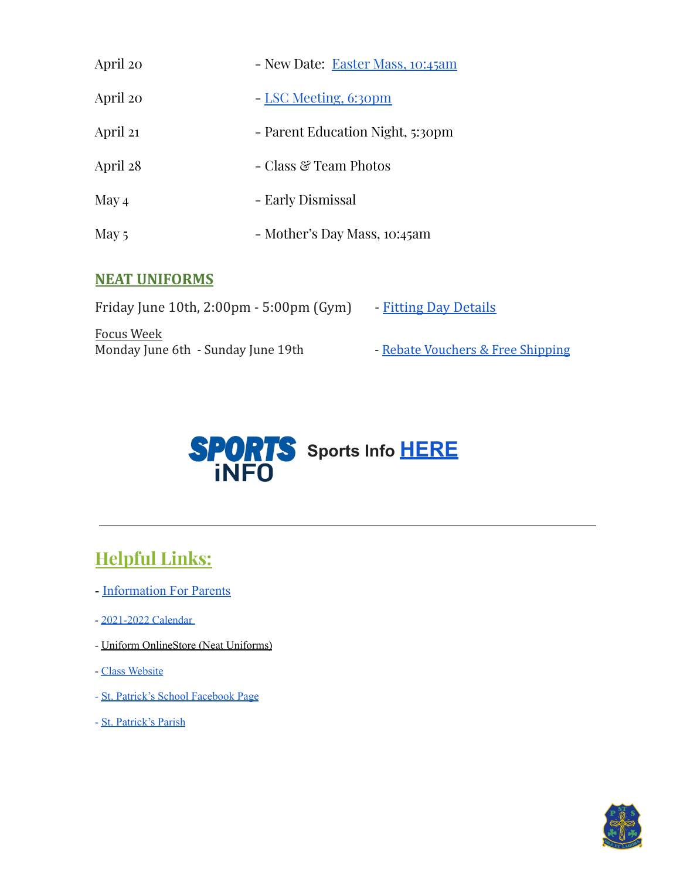| April 20 | - New Date: Easter Mass, 10:45am |
|----------|----------------------------------|
| April 20 | - LSC Meeting, 6:30pm            |
| April 21 | - Parent Education Night, 5:30pm |
| April 28 | - Class & Team Photos            |
| May 4    | - Early Dismissal                |
| May 5    | - Mother's Day Mass, 10:45am     |

#### **NEAT UNIFORMS**

Friday June 10th, 2:00pm - 5:00pm (Gym) - Fitting Day [Details](https://drive.google.com/file/d/1iQWe2gcj0hoblVA-igjZRGKJLKIVwCXz/view?usp=sharing) Focus Week Monday June 6th - Sunday June 19th - [Rebate Vouchers](https://drive.google.com/file/d/1ZPs0p-XvLXuYZ5bpbvLPtBXC84NrV58W/view?usp=sharing) & Free Shipping



# **Helpful Links:**

- [Information For Parents](https://www.stpatrickselem.ca/parents.php)
- [2021-2022](https://docs.google.com/document/d/1fhpwajvtgrRfivtpZ2NuV9RdgxGU8a2sbR2t8ZwDiFo/edit?usp=sharing) Calendar
- Uniform [OnlineStore](https://www.neatuniforms.ca/) (Neat Uniforms)
- Class [Website](https://www.stpatrickselem.ca/students.php)
- St. Patrick's School [Facebook](https://www.facebook.com/St.PatricksSchool/) Page
- St. [Patrick's](https://stpatsvictoria.com/) Parish